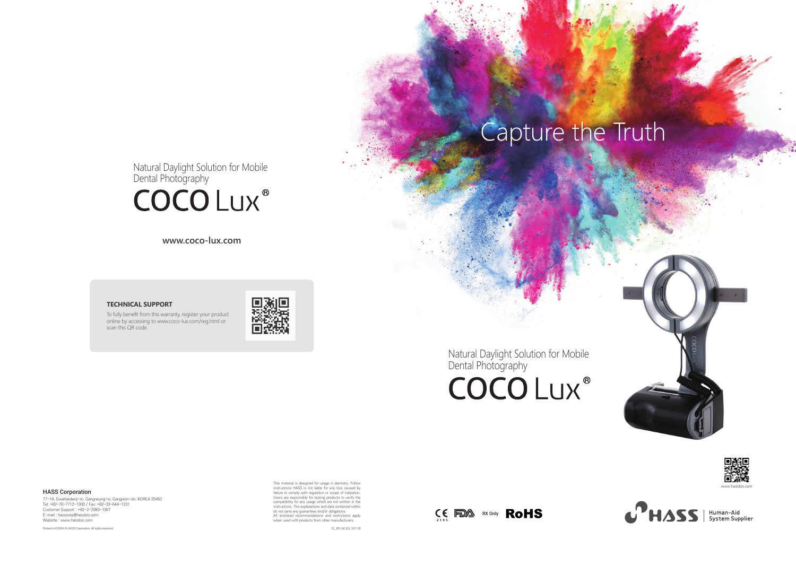Natural Daylight Solution for Mobile Dental Photography

# **COCOLUX®**

### **TECHNICAL SUPPORT**

This material is designed for usage in dentistry. Follow instructions HASS is not liable for any loss caused by failure to comply with regulation or scope of indication. Users are responsible for testing products to verify the compatibility for any usage which are not written in the instructions. The explanations and data contained within do not carry any guarantees and/or obligations.<br>Al

To fully benefit from this warranty, register your product online by accessing to www.coco-lux.com/reg.html or scan this QR code.



**www.coco-lux.com**











CL\_BR\_IM\_EN\_191118

77-14, Gwahakdanji-ro, Gangneung-si, Gangwon-do, KOREA 25452 Tel: +82-70-7712-1300 / Fax: +82-33-644-1231 Customer Support : +82-2-2083-1367 E-mail : hasscorp@hassbio.com Website : www.hassbio.com

Printed in KOREA © HASS Corporation. All rights reserved.

### HASS Corporation

Natural Daylight Solution for Mobile Dental Photography

# **COCOLUX®**